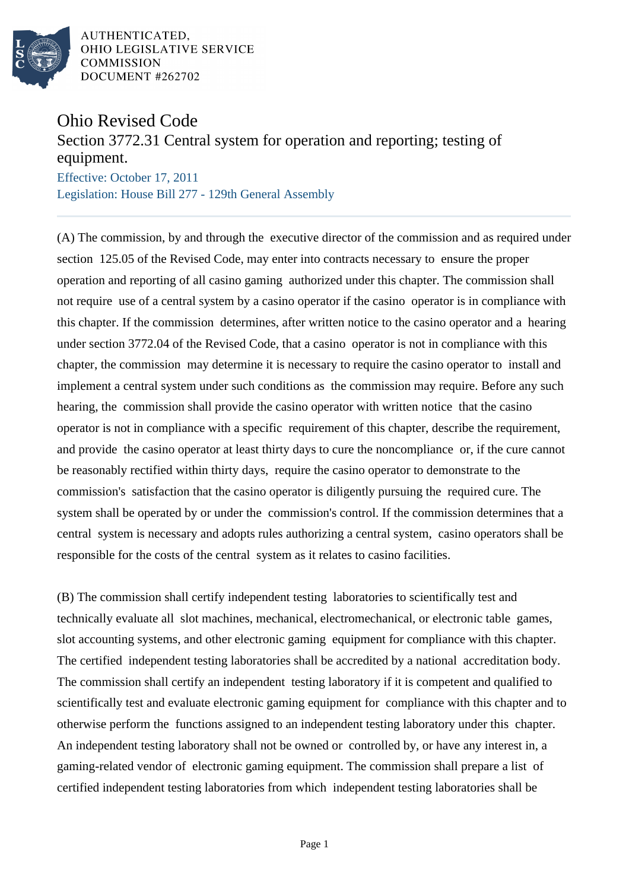

AUTHENTICATED. OHIO LEGISLATIVE SERVICE **COMMISSION** DOCUMENT #262702

## Ohio Revised Code

## Section 3772.31 Central system for operation and reporting; testing of equipment.

Effective: October 17, 2011 Legislation: House Bill 277 - 129th General Assembly

(A) The commission, by and through the executive director of the commission and as required under section 125.05 of the Revised Code, may enter into contracts necessary to ensure the proper operation and reporting of all casino gaming authorized under this chapter. The commission shall not require use of a central system by a casino operator if the casino operator is in compliance with this chapter. If the commission determines, after written notice to the casino operator and a hearing under section 3772.04 of the Revised Code, that a casino operator is not in compliance with this chapter, the commission may determine it is necessary to require the casino operator to install and implement a central system under such conditions as the commission may require. Before any such hearing, the commission shall provide the casino operator with written notice that the casino operator is not in compliance with a specific requirement of this chapter, describe the requirement, and provide the casino operator at least thirty days to cure the noncompliance or, if the cure cannot be reasonably rectified within thirty days, require the casino operator to demonstrate to the commission's satisfaction that the casino operator is diligently pursuing the required cure. The system shall be operated by or under the commission's control. If the commission determines that a central system is necessary and adopts rules authorizing a central system, casino operators shall be responsible for the costs of the central system as it relates to casino facilities.

(B) The commission shall certify independent testing laboratories to scientifically test and technically evaluate all slot machines, mechanical, electromechanical, or electronic table games, slot accounting systems, and other electronic gaming equipment for compliance with this chapter. The certified independent testing laboratories shall be accredited by a national accreditation body. The commission shall certify an independent testing laboratory if it is competent and qualified to scientifically test and evaluate electronic gaming equipment for compliance with this chapter and to otherwise perform the functions assigned to an independent testing laboratory under this chapter. An independent testing laboratory shall not be owned or controlled by, or have any interest in, a gaming-related vendor of electronic gaming equipment. The commission shall prepare a list of certified independent testing laboratories from which independent testing laboratories shall be